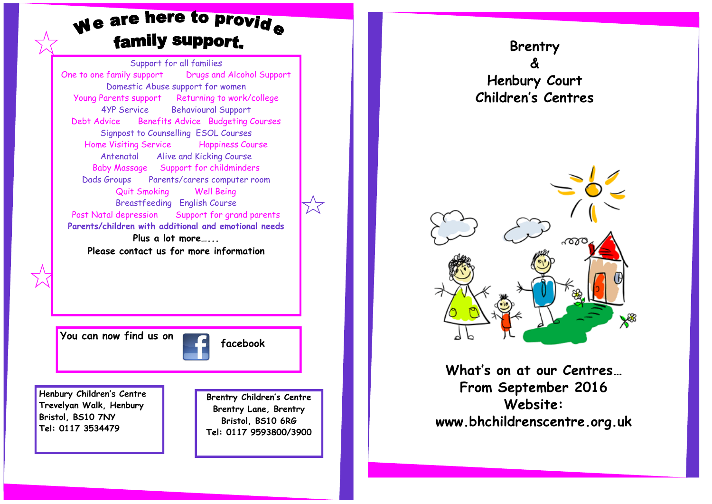# We are here to provide family support.

Support for all families One to one family support Drugs and Alcohol Support Domestic Abuse support for women Young Parents support Returning to work/college 4YP Service Behavioural Support Debt Advice Benefits Advice Budgeting Courses Signpost to Counselling ESOL Courses Home Visiting Service Happiness Course Antenatal Alive and Kicking Course Baby Massage Support for childminders Dads Groups Parents/carers computer room Quit Smoking Well Being Breastfeeding English Course Post Natal depression Support for grand parents **Parents/children with additional and emotional needs Plus a lot more…... Please contact us for more information**

You can now find us on **facebook** 

**Henbury Children's Centre Trevelyan Walk, Henbury Bristol, BS10 7NY Tel: 0117 3534479**

**Brentry Children's Centre Brentry Lane, Brentry Bristol, BS10 6RG Tel: 0117 9593800/3900**

**Brentry & Henbury Court Children's Centres**



**What's on at our Centres… From September 2016 Website: www.bhchildrenscentre.org.uk**